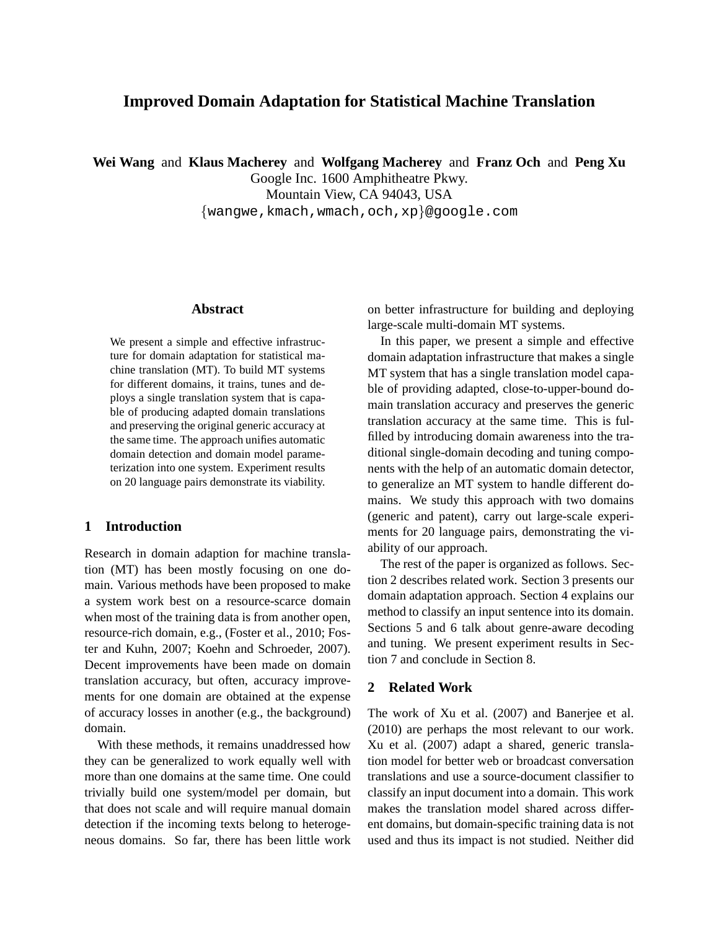# **Improved Domain Adaptation for Statistical Machine Translation**

**Wei Wang** and **Klaus Macherey** and **Wolfgang Macherey** and **Franz Och** and **Peng Xu**

Google Inc. 1600 Amphitheatre Pkwy. Mountain View, CA 94043, USA {wangwe,kmach,wmach,och,xp}@google.com

# **Abstract**

We present a simple and effective infrastructure for domain adaptation for statistical machine translation (MT). To build MT systems for different domains, it trains, tunes and deploys a single translation system that is capable of producing adapted domain translations and preserving the original generic accuracy at the same time. The approach unifies automatic domain detection and domain model parameterization into one system. Experiment results on 20 language pairs demonstrate its viability.

# **1 Introduction**

Research in domain adaption for machine translation (MT) has been mostly focusing on one domain. Various methods have been proposed to make a system work best on a resource-scarce domain when most of the training data is from another open, resource-rich domain, e.g., (Foster et al., 2010; Foster and Kuhn, 2007; Koehn and Schroeder, 2007). Decent improvements have been made on domain translation accuracy, but often, accuracy improvements for one domain are obtained at the expense of accuracy losses in another (e.g., the background) domain.

With these methods, it remains unaddressed how they can be generalized to work equally well with more than one domains at the same time. One could trivially build one system/model per domain, but that does not scale and will require manual domain detection if the incoming texts belong to heterogeneous domains. So far, there has been little work

on better infrastructure for building and deploying large-scale multi-domain MT systems.

In this paper, we present a simple and effective domain adaptation infrastructure that makes a single MT system that has a single translation model capable of providing adapted, close-to-upper-bound domain translation accuracy and preserves the generic translation accuracy at the same time. This is fulfilled by introducing domain awareness into the traditional single-domain decoding and tuning components with the help of an automatic domain detector, to generalize an MT system to handle different domains. We study this approach with two domains (generic and patent), carry out large-scale experiments for 20 language pairs, demonstrating the viability of our approach.

The rest of the paper is organized as follows. Section 2 describes related work. Section 3 presents our domain adaptation approach. Section 4 explains our method to classify an input sentence into its domain. Sections 5 and 6 talk about genre-aware decoding and tuning. We present experiment results in Section 7 and conclude in Section 8.

# **2 Related Work**

The work of Xu et al. (2007) and Banerjee et al. (2010) are perhaps the most relevant to our work. Xu et al. (2007) adapt a shared, generic translation model for better web or broadcast conversation translations and use a source-document classifier to classify an input document into a domain. This work makes the translation model shared across different domains, but domain-specific training data is not used and thus its impact is not studied. Neither did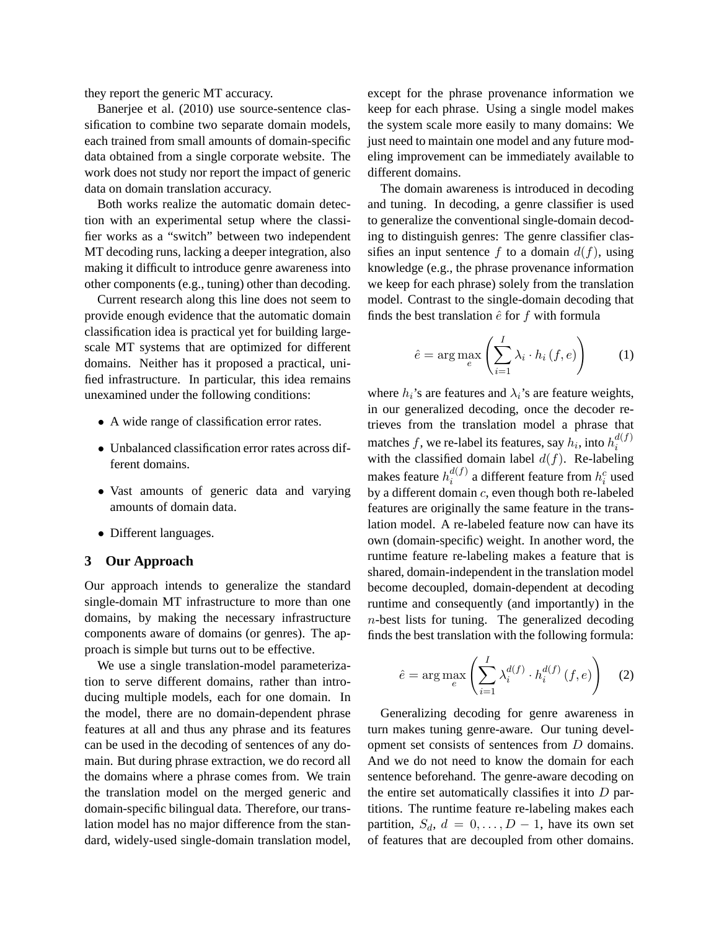they report the generic MT accuracy.

Banerjee et al. (2010) use source-sentence classification to combine two separate domain models, each trained from small amounts of domain-specific data obtained from a single corporate website. The work does not study nor report the impact of generic data on domain translation accuracy.

Both works realize the automatic domain detection with an experimental setup where the classifier works as a "switch" between two independent MT decoding runs, lacking a deeper integration, also making it difficult to introduce genre awareness into other components (e.g., tuning) other than decoding.

Current research along this line does not seem to provide enough evidence that the automatic domain classification idea is practical yet for building largescale MT systems that are optimized for different domains. Neither has it proposed a practical, unified infrastructure. In particular, this idea remains unexamined under the following conditions:

- A wide range of classification error rates.
- Unbalanced classification error rates across different domains.
- Vast amounts of generic data and varying amounts of domain data.
- Different languages.

### **3 Our Approach**

Our approach intends to generalize the standard single-domain MT infrastructure to more than one domains, by making the necessary infrastructure components aware of domains (or genres). The approach is simple but turns out to be effective.

We use a single translation-model parameterization to serve different domains, rather than introducing multiple models, each for one domain. In the model, there are no domain-dependent phrase features at all and thus any phrase and its features can be used in the decoding of sentences of any domain. But during phrase extraction, we do record all the domains where a phrase comes from. We train the translation model on the merged generic and domain-specific bilingual data. Therefore, our translation model has no major difference from the standard, widely-used single-domain translation model,

except for the phrase provenance information we keep for each phrase. Using a single model makes the system scale more easily to many domains: We just need to maintain one model and any future modeling improvement can be immediately available to different domains.

The domain awareness is introduced in decoding and tuning. In decoding, a genre classifier is used to generalize the conventional single-domain decoding to distinguish genres: The genre classifier classifies an input sentence f to a domain  $d(f)$ , using knowledge (e.g., the phrase provenance information we keep for each phrase) solely from the translation model. Contrast to the single-domain decoding that finds the best translation  $\hat{e}$  for  $f$  with formula

$$
\hat{e} = \arg \max_{e} \left( \sum_{i=1}^{I} \lambda_i \cdot h_i(f, e) \right) \tag{1}
$$

where  $h_i$ 's are features and  $\lambda_i$ 's are feature weights, in our generalized decoding, once the decoder retrieves from the translation model a phrase that matches  $f$ , we re-label its features, say  $h_i$ , into  $h_i^{d(f)}$ i with the classified domain label  $d(f)$ . Re-labeling makes feature  $h_i^{d(f)}$  $i^{d(f)}$  a different feature from  $h_i^c$  used by a different domain  $c$ , even though both re-labeled features are originally the same feature in the translation model. A re-labeled feature now can have its own (domain-specific) weight. In another word, the runtime feature re-labeling makes a feature that is shared, domain-independent in the translation model become decoupled, domain-dependent at decoding runtime and consequently (and importantly) in the n-best lists for tuning. The generalized decoding finds the best translation with the following formula:

$$
\hat{e} = \arg \max_{e} \left( \sum_{i=1}^{I} \lambda_i^{d(f)} \cdot h_i^{d(f)}(f, e) \right) \tag{2}
$$

Generalizing decoding for genre awareness in turn makes tuning genre-aware. Our tuning development set consists of sentences from D domains. And we do not need to know the domain for each sentence beforehand. The genre-aware decoding on the entire set automatically classifies it into  $D$  partitions. The runtime feature re-labeling makes each partition,  $S_d$ ,  $d = 0, \ldots, D - 1$ , have its own set of features that are decoupled from other domains.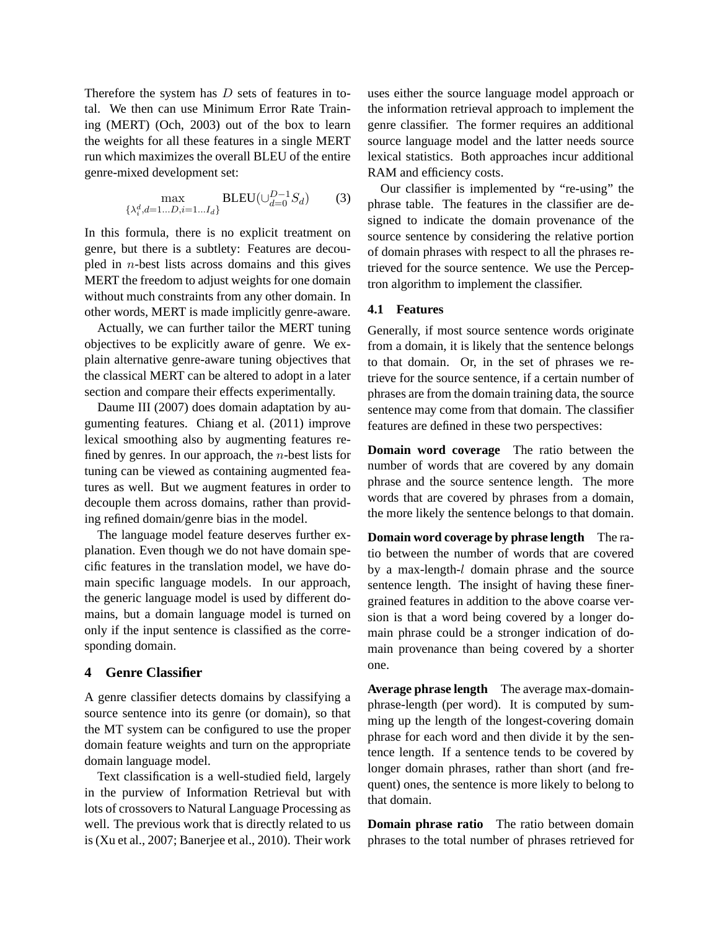Therefore the system has  $D$  sets of features in total. We then can use Minimum Error Rate Training (MERT) (Och, 2003) out of the box to learn the weights for all these features in a single MERT run which maximizes the overall BLEU of the entire genre-mixed development set:

$$
\max_{\{\lambda_i^d, d=1...D, i=1...I_d\}} BLEU(\cup_{d=0}^{D-1} S_d)
$$
 (3)

In this formula, there is no explicit treatment on genre, but there is a subtlety: Features are decoupled in  $n$ -best lists across domains and this gives MERT the freedom to adjust weights for one domain without much constraints from any other domain. In other words, MERT is made implicitly genre-aware.

Actually, we can further tailor the MERT tuning objectives to be explicitly aware of genre. We explain alternative genre-aware tuning objectives that the classical MERT can be altered to adopt in a later section and compare their effects experimentally.

Daume III (2007) does domain adaptation by augumenting features. Chiang et al. (2011) improve lexical smoothing also by augmenting features refined by genres. In our approach, the  $n$ -best lists for tuning can be viewed as containing augmented features as well. But we augment features in order to decouple them across domains, rather than providing refined domain/genre bias in the model.

The language model feature deserves further explanation. Even though we do not have domain specific features in the translation model, we have domain specific language models. In our approach, the generic language model is used by different domains, but a domain language model is turned on only if the input sentence is classified as the corresponding domain.

# **4 Genre Classifier**

A genre classifier detects domains by classifying a source sentence into its genre (or domain), so that the MT system can be configured to use the proper domain feature weights and turn on the appropriate domain language model.

Text classification is a well-studied field, largely in the purview of Information Retrieval but with lots of crossovers to Natural Language Processing as well. The previous work that is directly related to us is (Xu et al., 2007; Banerjee et al., 2010). Their work uses either the source language model approach or the information retrieval approach to implement the genre classifier. The former requires an additional source language model and the latter needs source lexical statistics. Both approaches incur additional RAM and efficiency costs.

Our classifier is implemented by "re-using" the phrase table. The features in the classifier are designed to indicate the domain provenance of the source sentence by considering the relative portion of domain phrases with respect to all the phrases retrieved for the source sentence. We use the Perceptron algorithm to implement the classifier.

# **4.1 Features**

Generally, if most source sentence words originate from a domain, it is likely that the sentence belongs to that domain. Or, in the set of phrases we retrieve for the source sentence, if a certain number of phrases are from the domain training data, the source sentence may come from that domain. The classifier features are defined in these two perspectives:

**Domain word coverage** The ratio between the number of words that are covered by any domain phrase and the source sentence length. The more words that are covered by phrases from a domain, the more likely the sentence belongs to that domain.

**Domain word coverage by phrase length** The ratio between the number of words that are covered by a max-length-l domain phrase and the source sentence length. The insight of having these finergrained features in addition to the above coarse version is that a word being covered by a longer domain phrase could be a stronger indication of domain provenance than being covered by a shorter one.

**Average phrase length** The average max-domainphrase-length (per word). It is computed by summing up the length of the longest-covering domain phrase for each word and then divide it by the sentence length. If a sentence tends to be covered by longer domain phrases, rather than short (and frequent) ones, the sentence is more likely to belong to that domain.

**Domain phrase ratio** The ratio between domain phrases to the total number of phrases retrieved for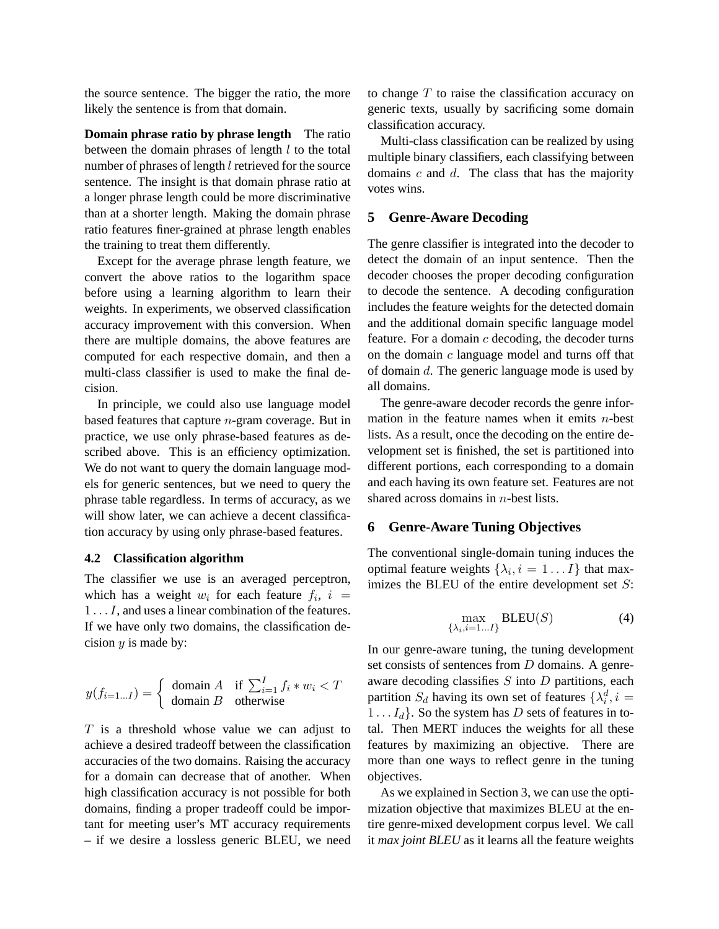the source sentence. The bigger the ratio, the more likely the sentence is from that domain.

**Domain phrase ratio by phrase length** The ratio between the domain phrases of length  $l$  to the total number of phrases of length *l* retrieved for the source sentence. The insight is that domain phrase ratio at a longer phrase length could be more discriminative than at a shorter length. Making the domain phrase ratio features finer-grained at phrase length enables the training to treat them differently.

Except for the average phrase length feature, we convert the above ratios to the logarithm space before using a learning algorithm to learn their weights. In experiments, we observed classification accuracy improvement with this conversion. When there are multiple domains, the above features are computed for each respective domain, and then a multi-class classifier is used to make the final decision.

In principle, we could also use language model based features that capture  $n$ -gram coverage. But in practice, we use only phrase-based features as described above. This is an efficiency optimization. We do not want to query the domain language models for generic sentences, but we need to query the phrase table regardless. In terms of accuracy, as we will show later, we can achieve a decent classification accuracy by using only phrase-based features.

### **4.2 Classification algorithm**

The classifier we use is an averaged perceptron, which has a weight  $w_i$  for each feature  $f_i$ ,  $i =$ 1 . . . I, and uses a linear combination of the features. If we have only two domains, the classification decision  $y$  is made by:

$$
y(f_{i=1...I}) = \begin{cases} \text{ domain } A & \text{if } \sum_{i=1}^{I} f_i * w_i < T \\ \text{ domain } B & \text{otherwise} \end{cases}
$$

 $T$  is a threshold whose value we can adjust to achieve a desired tradeoff between the classification accuracies of the two domains. Raising the accuracy for a domain can decrease that of another. When high classification accuracy is not possible for both domains, finding a proper tradeoff could be important for meeting user's MT accuracy requirements – if we desire a lossless generic BLEU, we need to change  $T$  to raise the classification accuracy on generic texts, usually by sacrificing some domain classification accuracy.

Multi-class classification can be realized by using multiple binary classifiers, each classifying between domains  $c$  and  $d$ . The class that has the majority votes wins.

### **5 Genre-Aware Decoding**

The genre classifier is integrated into the decoder to detect the domain of an input sentence. Then the decoder chooses the proper decoding configuration to decode the sentence. A decoding configuration includes the feature weights for the detected domain and the additional domain specific language model feature. For a domain  $c$  decoding, the decoder turns on the domain  $c$  language model and turns off that of domain d. The generic language mode is used by all domains.

The genre-aware decoder records the genre information in the feature names when it emits  $n$ -best lists. As a result, once the decoding on the entire development set is finished, the set is partitioned into different portions, each corresponding to a domain and each having its own feature set. Features are not shared across domains in *n*-best lists.

#### **6 Genre-Aware Tuning Objectives**

The conventional single-domain tuning induces the optimal feature weights  $\{\lambda_i, i = 1 \dots I\}$  that maximizes the BLEU of the entire development set  $S$ :

$$
\max_{\{\lambda_i, i=1...I\}} \text{BLEU}(S) \tag{4}
$$

In our genre-aware tuning, the tuning development set consists of sentences from D domains. A genreaware decoding classifies  $S$  into  $D$  partitions, each partition  $S_d$  having its own set of features  $\{\lambda_i^d, i =$  $1 \ldots I_d$ . So the system has D sets of features in total. Then MERT induces the weights for all these features by maximizing an objective. There are more than one ways to reflect genre in the tuning objectives.

As we explained in Section 3, we can use the optimization objective that maximizes BLEU at the entire genre-mixed development corpus level. We call it *max joint BLEU* as it learns all the feature weights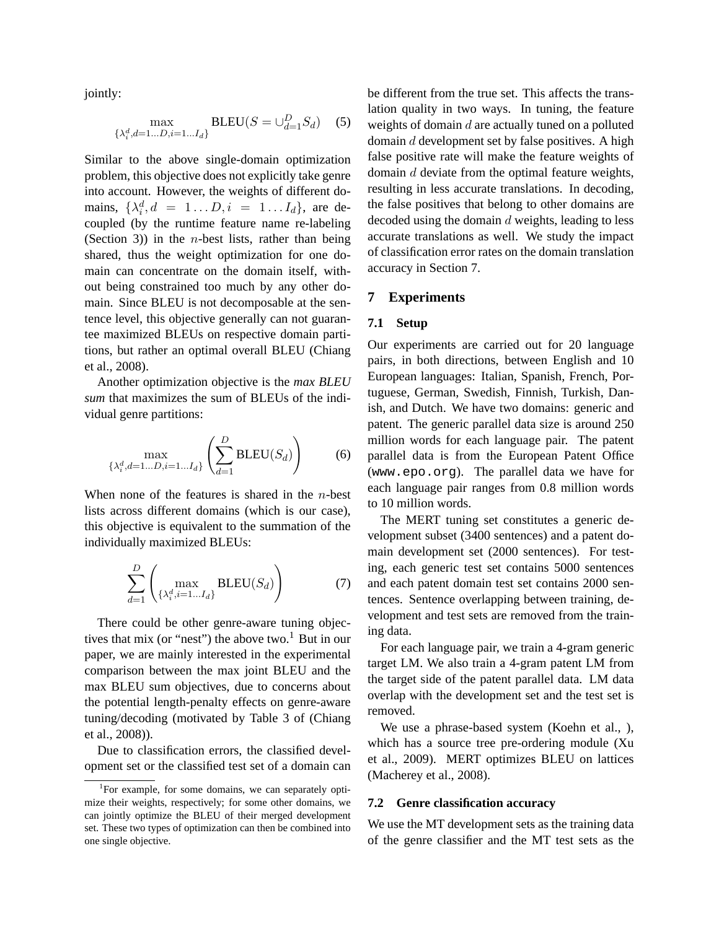jointly:

$$
\max_{\{\lambda_i^d, d=1...D, i=1...I_d\}} \text{BLEU}(S = \cup_{d=1}^D S_d) \quad (5)
$$

Similar to the above single-domain optimization problem, this objective does not explicitly take genre into account. However, the weights of different domains,  $\{\lambda_i^d, d = 1...D, i = 1...I_d\}$ , are decoupled (by the runtime feature name re-labeling (Section 3)) in the *n*-best lists, rather than being shared, thus the weight optimization for one domain can concentrate on the domain itself, without being constrained too much by any other domain. Since BLEU is not decomposable at the sentence level, this objective generally can not guarantee maximized BLEUs on respective domain partitions, but rather an optimal overall BLEU (Chiang et al., 2008).

Another optimization objective is the *max BLEU sum* that maximizes the sum of BLEUs of the individual genre partitions:

$$
\max_{\{\lambda_i^d, d=1...D, i=1...I_d\}} \left(\sum_{d=1}^D \text{BLEU}(S_d)\right) \tag{6}
$$

When none of the features is shared in the *n*-best lists across different domains (which is our case), this objective is equivalent to the summation of the individually maximized BLEUs:

$$
\sum_{d=1}^{D} \left( \max_{\{\lambda_i^d, i=1...I_d\}} \text{BLEU}(S_d) \right) \tag{7}
$$

There could be other genre-aware tuning objectives that mix (or "nest") the above two.<sup>1</sup> But in our paper, we are mainly interested in the experimental comparison between the max joint BLEU and the max BLEU sum objectives, due to concerns about the potential length-penalty effects on genre-aware tuning/decoding (motivated by Table 3 of (Chiang et al., 2008)).

Due to classification errors, the classified development set or the classified test set of a domain can be different from the true set. This affects the translation quality in two ways. In tuning, the feature weights of domain  $d$  are actually tuned on a polluted domain d development set by false positives. A high false positive rate will make the feature weights of domain d deviate from the optimal feature weights, resulting in less accurate translations. In decoding, the false positives that belong to other domains are decoded using the domain d weights, leading to less accurate translations as well. We study the impact of classification error rates on the domain translation accuracy in Section 7.

#### **7 Experiments**

# **7.1 Setup**

Our experiments are carried out for 20 language pairs, in both directions, between English and 10 European languages: Italian, Spanish, French, Portuguese, German, Swedish, Finnish, Turkish, Danish, and Dutch. We have two domains: generic and patent. The generic parallel data size is around 250 million words for each language pair. The patent parallel data is from the European Patent Office (www.epo.org). The parallel data we have for each language pair ranges from 0.8 million words to 10 million words.

The MERT tuning set constitutes a generic development subset (3400 sentences) and a patent domain development set (2000 sentences). For testing, each generic test set contains 5000 sentences and each patent domain test set contains 2000 sentences. Sentence overlapping between training, development and test sets are removed from the training data.

For each language pair, we train a 4-gram generic target LM. We also train a 4-gram patent LM from the target side of the patent parallel data. LM data overlap with the development set and the test set is removed.

We use a phrase-based system (Koehn et al., ), which has a source tree pre-ordering module (Xu et al., 2009). MERT optimizes BLEU on lattices (Macherey et al., 2008).

### **7.2 Genre classification accuracy**

We use the MT development sets as the training data of the genre classifier and the MT test sets as the

<sup>&</sup>lt;sup>1</sup>For example, for some domains, we can separately optimize their weights, respectively; for some other domains, we can jointly optimize the BLEU of their merged development set. These two types of optimization can then be combined into one single objective.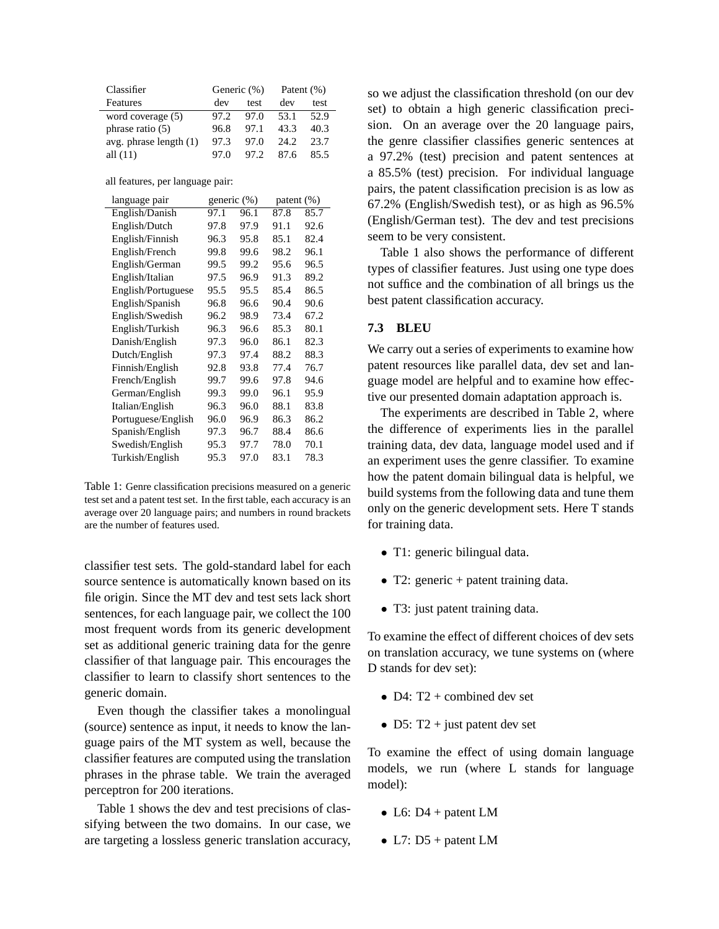| Classifier               | Generic (%) |      | Patent $(\% )$ |      |
|--------------------------|-------------|------|----------------|------|
| Features                 | dev         | test | dev            | test |
| word coverage (5)        | 97.2        | 97.0 | 53.1           | 52.9 |
| phrase ratio (5)         | 96.8        | 97.1 | 43.3           | 40.3 |
| avg. phrase length $(1)$ | 97.3        | 97.0 | 24.2           | 23.7 |
| all $(11)$               | 97.0        | 97.2 | 87.6           | 85.5 |

all features, per language pair:

| language pair      |      | generic (%) |      | patent $(\%)$ |  |
|--------------------|------|-------------|------|---------------|--|
| English/Danish     | 97.1 | 96.1        | 87.8 | 85.7          |  |
| English/Dutch      | 97.8 | 97.9        | 91.1 | 92.6          |  |
| English/Finnish    | 96.3 | 95.8        | 85.1 | 82.4          |  |
| English/French     | 99.8 | 99.6        | 98.2 | 96.1          |  |
| English/German     | 99.5 | 99.2        | 95.6 | 96.5          |  |
| English/Italian    | 97.5 | 96.9        | 91.3 | 89.2          |  |
| English/Portuguese | 95.5 | 95.5        | 85.4 | 86.5          |  |
| English/Spanish    | 96.8 | 96.6        | 90.4 | 90.6          |  |
| English/Swedish    | 96.2 | 98.9        | 73.4 | 67.2          |  |
| English/Turkish    | 96.3 | 96.6        | 85.3 | 80.1          |  |
| Danish/English     | 97.3 | 96.0        | 86.1 | 82.3          |  |
| Dutch/English      | 97.3 | 97.4        | 88.2 | 88.3          |  |
| Finnish/English    | 92.8 | 93.8        | 77.4 | 76.7          |  |
| French/English     | 99.7 | 99.6        | 97.8 | 94.6          |  |
| German/English     | 99.3 | 99.0        | 96.1 | 95.9          |  |
| Italian/English    | 96.3 | 96.0        | 88.1 | 83.8          |  |
| Portuguese/English | 96.0 | 96.9        | 86.3 | 86.2          |  |
| Spanish/English    | 97.3 | 96.7        | 88.4 | 86.6          |  |
| Swedish/English    | 95.3 | 97.7        | 78.0 | 70.1          |  |
| Turkish/English    | 95.3 | 97.0        | 83.1 | 78.3          |  |

Table 1: Genre classification precisions measured on a generic test set and a patent test set. In the first table, each accuracy is an average over 20 language pairs; and numbers in round brackets are the number of features used.

classifier test sets. The gold-standard label for each source sentence is automatically known based on its file origin. Since the MT dev and test sets lack short sentences, for each language pair, we collect the 100 most frequent words from its generic development set as additional generic training data for the genre classifier of that language pair. This encourages the classifier to learn to classify short sentences to the generic domain.

Even though the classifier takes a monolingual (source) sentence as input, it needs to know the language pairs of the MT system as well, because the classifier features are computed using the translation phrases in the phrase table. We train the averaged perceptron for 200 iterations.

Table 1 shows the dev and test precisions of classifying between the two domains. In our case, we are targeting a lossless generic translation accuracy, so we adjust the classification threshold (on our dev set) to obtain a high generic classification precision. On an average over the 20 language pairs, the genre classifier classifies generic sentences at a 97.2% (test) precision and patent sentences at a 85.5% (test) precision. For individual language pairs, the patent classification precision is as low as 67.2% (English/Swedish test), or as high as 96.5% (English/German test). The dev and test precisions seem to be very consistent.

Table 1 also shows the performance of different types of classifier features. Just using one type does not suffice and the combination of all brings us the best patent classification accuracy.

# **7.3 BLEU**

We carry out a series of experiments to examine how patent resources like parallel data, dev set and language model are helpful and to examine how effective our presented domain adaptation approach is.

The experiments are described in Table 2, where the difference of experiments lies in the parallel training data, dev data, language model used and if an experiment uses the genre classifier. To examine how the patent domain bilingual data is helpful, we build systems from the following data and tune them only on the generic development sets. Here T stands for training data.

- T1: generic bilingual data.
- T2: generic + patent training data.
- T3: just patent training data.

To examine the effect of different choices of dev sets on translation accuracy, we tune systems on (where D stands for dev set):

- D4:  $T2 + combined dev set$
- D5: T2 + just patent dev set

To examine the effect of using domain language models, we run (where L stands for language model):

- L6:  $D4 +$  patent LM
- L7:  $D5 +$  patent LM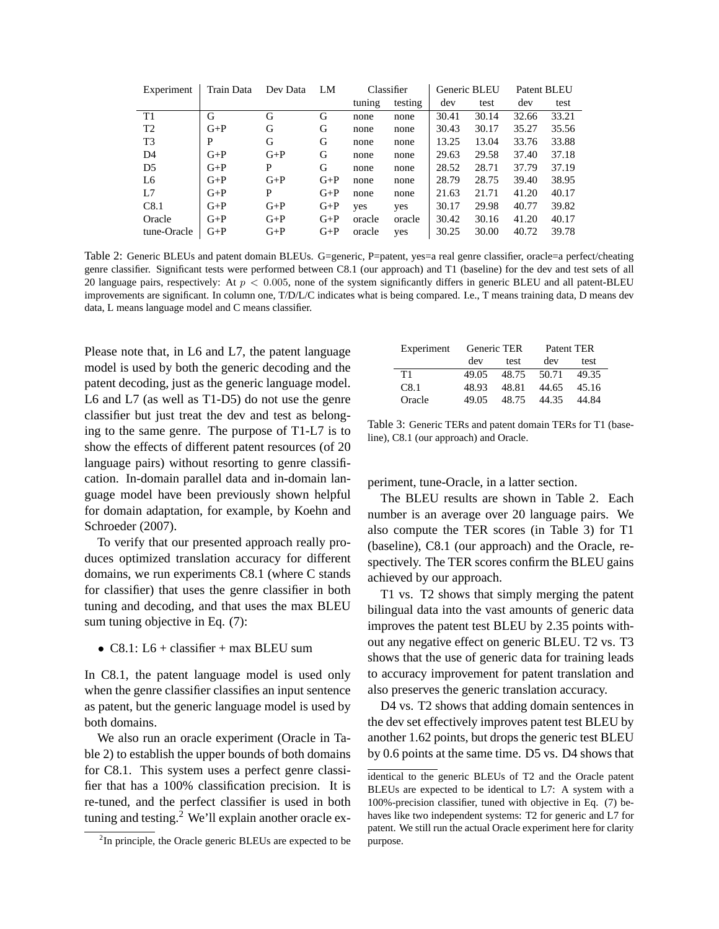| Experiment     | Train Data | Dev Data | LM    |        | Classifier |       | Generic BLEU | Patent BLEU |       |
|----------------|------------|----------|-------|--------|------------|-------|--------------|-------------|-------|
|                |            |          |       | tuning | testing    | dev   | test         | dev         | test  |
| T1             | G          | G        | G     | none   | none       | 30.41 | 30.14        | 32.66       | 33.21 |
| T <sub>2</sub> | $G+P$      | G        | G     | none   | none       | 30.43 | 30.17        | 35.27       | 35.56 |
| T <sub>3</sub> | P          | G        | G     | none   | none       | 13.25 | 13.04        | 33.76       | 33.88 |
| D <sub>4</sub> | $G+P$      | $G+P$    | G     | none   | none       | 29.63 | 29.58        | 37.40       | 37.18 |
| D <sub>5</sub> | $G+P$      | P        | G     | none   | none       | 28.52 | 28.71        | 37.79       | 37.19 |
| L <sub>6</sub> | $G+P$      | $G+P$    | $G+P$ | none   | none       | 28.79 | 28.75        | 39.40       | 38.95 |
| L7             | $G+P$      | P        | $G+P$ | none   | none       | 21.63 | 21.71        | 41.20       | 40.17 |
| C8.1           | $G+P$      | $G+P$    | $G+P$ | yes    | yes        | 30.17 | 29.98        | 40.77       | 39.82 |
| Oracle         | $G+P$      | $G+P$    | $G+P$ | oracle | oracle     | 30.42 | 30.16        | 41.20       | 40.17 |
| tune-Oracle    | $G+P$      | $G+P$    | $G+P$ | oracle | yes        | 30.25 | 30.00        | 40.72       | 39.78 |

Table 2: Generic BLEUs and patent domain BLEUs. G=generic, P=patent, yes=a real genre classifier, oracle=a perfect/cheating genre classifier. Significant tests were performed between C8.1 (our approach) and T1 (baseline) for the dev and test sets of all 20 language pairs, respectively: At  $p < 0.005$ , none of the system significantly differs in generic BLEU and all patent-BLEU improvements are significant. In column one, T/D/L/C indicates what is being compared. I.e., T means training data, D means dev data, L means language model and C means classifier.

Please note that, in L6 and L7, the patent language model is used by both the generic decoding and the patent decoding, just as the generic language model. L6 and L7 (as well as T1-D5) do not use the genre classifier but just treat the dev and test as belonging to the same genre. The purpose of T1-L7 is to show the effects of different patent resources (of 20 language pairs) without resorting to genre classification. In-domain parallel data and in-domain language model have been previously shown helpful for domain adaptation, for example, by Koehn and Schroeder (2007).

To verify that our presented approach really produces optimized translation accuracy for different domains, we run experiments C8.1 (where C stands for classifier) that uses the genre classifier in both tuning and decoding, and that uses the max BLEU sum tuning objective in Eq. (7):

• C8.1:  $L6$  + classifier + max BLEU sum

In C8.1, the patent language model is used only when the genre classifier classifies an input sentence as patent, but the generic language model is used by both domains.

We also run an oracle experiment (Oracle in Table 2) to establish the upper bounds of both domains for C8.1. This system uses a perfect genre classifier that has a 100% classification precision. It is re-tuned, and the perfect classifier is used in both tuning and testing.<sup>2</sup> We'll explain another oracle ex-

| Experiment | Generic TER |       | Patent TER |       |  |
|------------|-------------|-------|------------|-------|--|
|            | dev         | test  | dev        | test  |  |
| T1         | 49.05       | 48.75 | 50.71      | 49.35 |  |
| C8.1       | 48.93       | 48.81 | 44.65      | 45.16 |  |
| Oracle     | 49.05       | 48.75 | 44.35      | 44.84 |  |

Table 3: Generic TERs and patent domain TERs for T1 (baseline), C8.1 (our approach) and Oracle.

periment, tune-Oracle, in a latter section.

The BLEU results are shown in Table 2. Each number is an average over 20 language pairs. We also compute the TER scores (in Table 3) for T1 (baseline), C8.1 (our approach) and the Oracle, respectively. The TER scores confirm the BLEU gains achieved by our approach.

T1 vs. T2 shows that simply merging the patent bilingual data into the vast amounts of generic data improves the patent test BLEU by 2.35 points without any negative effect on generic BLEU. T2 vs. T3 shows that the use of generic data for training leads to accuracy improvement for patent translation and also preserves the generic translation accuracy.

D4 vs. T2 shows that adding domain sentences in the dev set effectively improves patent test BLEU by another 1.62 points, but drops the generic test BLEU by 0.6 points at the same time. D5 vs. D4 shows that

<sup>&</sup>lt;sup>2</sup>In principle, the Oracle generic BLEUs are expected to be

identical to the generic BLEUs of T2 and the Oracle patent BLEUs are expected to be identical to L7: A system with a 100%-precision classifier, tuned with objective in Eq. (7) behaves like two independent systems: T2 for generic and L7 for patent. We still run the actual Oracle experiment here for clarity purpose.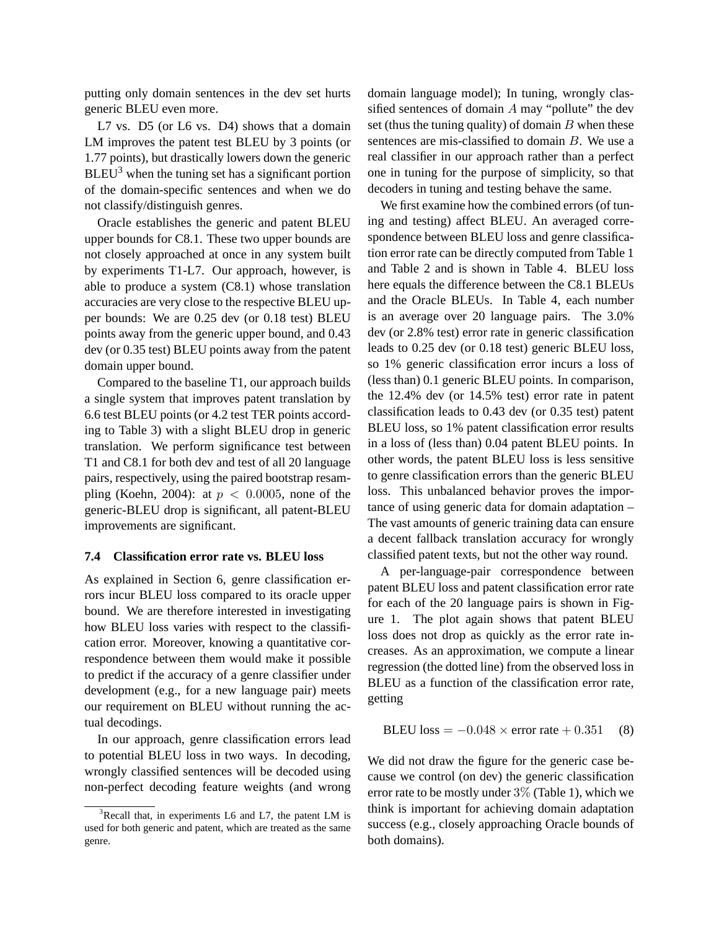putting only domain sentences in the dev set hurts generic BLEU even more.

L7 vs. D5 (or L6 vs. D4) shows that a domain LM improves the patent test BLEU by 3 points (or 1.77 points), but drastically lowers down the generic  $BLEU<sup>3</sup>$  when the tuning set has a significant portion of the domain-specific sentences and when we do not classify/distinguish genres.

Oracle establishes the generic and patent BLEU upper bounds for C8.1. These two upper bounds are not closely approached at once in any system built by experiments T1-L7. Our approach, however, is able to produce a system (C8.1) whose translation accuracies are very close to the respective BLEU upper bounds: We are 0.25 dev (or 0.18 test) BLEU points away from the generic upper bound, and 0.43 dev (or 0.35 test) BLEU points away from the patent domain upper bound.

Compared to the baseline T1, our approach builds a single system that improves patent translation by 6.6 test BLEU points (or 4.2 test TER points according to Table 3) with a slight BLEU drop in generic translation. We perform significance test between T1 and C8.1 for both dev and test of all 20 language pairs, respectively, using the paired bootstrap resampling (Koehn, 2004): at  $p < 0.0005$ , none of the generic-BLEU drop is significant, all patent-BLEU improvements are significant.

### **7.4 Classification error rate vs. BLEU loss**

As explained in Section 6, genre classification errors incur BLEU loss compared to its oracle upper bound. We are therefore interested in investigating how BLEU loss varies with respect to the classification error. Moreover, knowing a quantitative correspondence between them would make it possible to predict if the accuracy of a genre classifier under development (e.g., for a new language pair) meets our requirement on BLEU without running the actual decodings.

In our approach, genre classification errors lead to potential BLEU loss in two ways. In decoding, wrongly classified sentences will be decoded using non-perfect decoding feature weights (and wrong

domain language model); In tuning, wrongly classified sentences of domain  $A$  may "pollute" the dev set (thus the tuning quality) of domain  $B$  when these sentences are mis-classified to domain  $B$ . We use a real classifier in our approach rather than a perfect one in tuning for the purpose of simplicity, so that decoders in tuning and testing behave the same.

We first examine how the combined errors (of tuning and testing) affect BLEU. An averaged correspondence between BLEU loss and genre classification error rate can be directly computed from Table 1 and Table 2 and is shown in Table 4. BLEU loss here equals the difference between the C8.1 BLEUs and the Oracle BLEUs. In Table 4, each number is an average over 20 language pairs. The 3.0% dev (or 2.8% test) error rate in generic classification leads to 0.25 dev (or 0.18 test) generic BLEU loss, so 1% generic classification error incurs a loss of (less than) 0.1 generic BLEU points. In comparison, the 12.4% dev (or 14.5% test) error rate in patent classification leads to 0.43 dev (or 0.35 test) patent BLEU loss, so 1% patent classification error results in a loss of (less than) 0.04 patent BLEU points. In other words, the patent BLEU loss is less sensitive to genre classification errors than the generic BLEU loss. This unbalanced behavior proves the importance of using generic data for domain adaptation – The vast amounts of generic training data can ensure a decent fallback translation accuracy for wrongly classified patent texts, but not the other way round.

A per-language-pair correspondence between patent BLEU loss and patent classification error rate for each of the 20 language pairs is shown in Figure 1. The plot again shows that patent BLEU loss does not drop as quickly as the error rate increases. As an approximation, we compute a linear regression (the dotted line) from the observed loss in BLEU as a function of the classification error rate, getting

$$
BLEU loss = -0.048 \times error rate + 0.351
$$
 (8)

We did not draw the figure for the generic case because we control (on dev) the generic classification error rate to be mostly under  $3\%$  (Table 1), which we think is important for achieving domain adaptation success (e.g., closely approaching Oracle bounds of both domains).

 $3$ Recall that, in experiments L6 and L7, the patent LM is used for both generic and patent, which are treated as the same genre.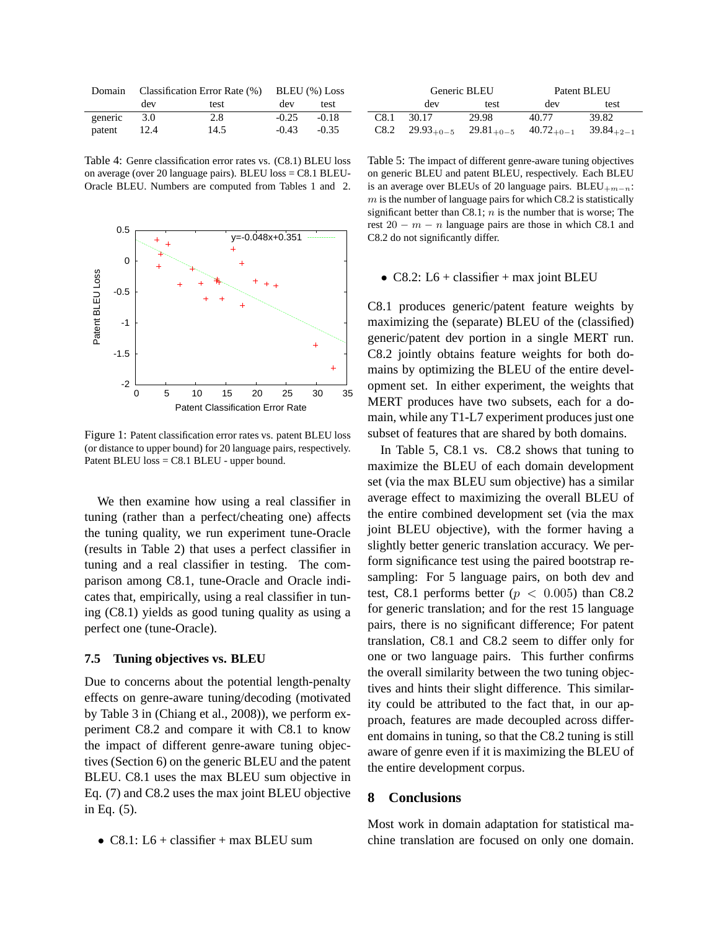|         | Domain Classification Error Rate (%) BLEU (%) Loss |      |         |         |  |
|---------|----------------------------------------------------|------|---------|---------|--|
|         | dev                                                | test | dev     | test    |  |
| generic | 3.0                                                | 2.8  | $-0.25$ | $-0.18$ |  |
| patent  | 12.4                                               | 14.5 | $-0.43$ | $-0.35$ |  |

Table 4: Genre classification error rates vs. (C8.1) BLEU loss on average (over 20 language pairs). BLEU loss = C8.1 BLEU-Oracle BLEU. Numbers are computed from Tables 1 and 2.



Figure 1: Patent classification error rates vs. patent BLEU loss (or distance to upper bound) for 20 language pairs, respectively. Patent BLEU loss = C8.1 BLEU - upper bound.

We then examine how using a real classifier in tuning (rather than a perfect/cheating one) affects the tuning quality, we run experiment tune-Oracle (results in Table 2) that uses a perfect classifier in tuning and a real classifier in testing. The comparison among C8.1, tune-Oracle and Oracle indicates that, empirically, using a real classifier in tuning (C8.1) yields as good tuning quality as using a perfect one (tune-Oracle).

#### **7.5 Tuning objectives vs. BLEU**

Due to concerns about the potential length-penalty effects on genre-aware tuning/decoding (motivated by Table 3 in (Chiang et al., 2008)), we perform experiment C8.2 and compare it with C8.1 to know the impact of different genre-aware tuning objectives (Section 6) on the generic BLEU and the patent BLEU. C8.1 uses the max BLEU sum objective in Eq. (7) and C8.2 uses the max joint BLEU objective in Eq. (5).

• C8.1:  $L6 + \text{ classifier} + \text{max}$  BLEU sum

|      |       | Generic BLEU                                        | Patent BLEU |                |  |
|------|-------|-----------------------------------------------------|-------------|----------------|--|
|      | dev   | test                                                | dev         | test           |  |
| C8.1 | 30.17 | 29.98                                               | 40.77       | 39.82          |  |
|      |       | $C8.2$ $29.93_{+0-5}$ $29.81_{+0-5}$ $40.72_{+0-1}$ |             | $39.84_{+2-1}$ |  |

Table 5: The impact of different genre-aware tuning objectives on generic BLEU and patent BLEU, respectively. Each BLEU is an average over BLEUs of 20 language pairs. BLEU<sub>+m−n</sub>:  $m$  is the number of language pairs for which C8.2 is statistically significant better than C8.1;  $n$  is the number that is worse; The rest  $20 - m - n$  language pairs are those in which C8.1 and C8.2 do not significantly differ.

# • C8.2:  $L6 + \text{ classifier} + \text{max joint BLEU}$

C8.1 produces generic/patent feature weights by maximizing the (separate) BLEU of the (classified) generic/patent dev portion in a single MERT run. C8.2 jointly obtains feature weights for both domains by optimizing the BLEU of the entire development set. In either experiment, the weights that MERT produces have two subsets, each for a domain, while any T1-L7 experiment produces just one subset of features that are shared by both domains.

In Table 5, C8.1 vs. C8.2 shows that tuning to maximize the BLEU of each domain development set (via the max BLEU sum objective) has a similar average effect to maximizing the overall BLEU of the entire combined development set (via the max joint BLEU objective), with the former having a slightly better generic translation accuracy. We perform significance test using the paired bootstrap resampling: For 5 language pairs, on both dev and test, C8.1 performs better ( $p < 0.005$ ) than C8.2 for generic translation; and for the rest 15 language pairs, there is no significant difference; For patent translation, C8.1 and C8.2 seem to differ only for one or two language pairs. This further confirms the overall similarity between the two tuning objectives and hints their slight difference. This similarity could be attributed to the fact that, in our approach, features are made decoupled across different domains in tuning, so that the C8.2 tuning is still aware of genre even if it is maximizing the BLEU of the entire development corpus.

### **8 Conclusions**

Most work in domain adaptation for statistical machine translation are focused on only one domain.